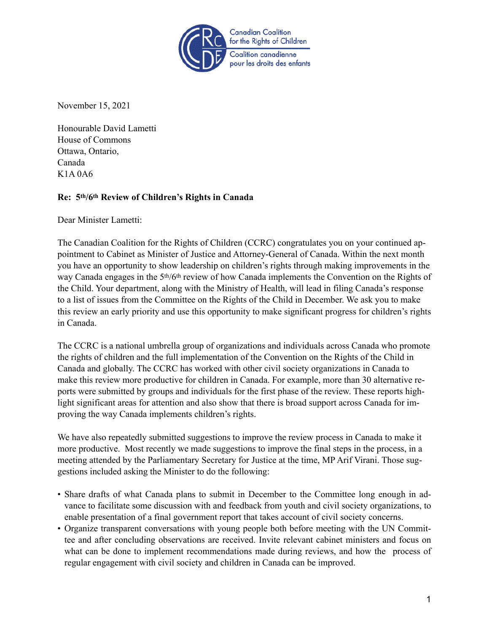

November 15, 2021

Honourable David Lametti House of Commons Ottawa, Ontario, Canada K1A 0A6

## **Re: 5th/6th Review of Children's Rights in Canada**

Dear Minister Lametti:

The Canadian Coalition for the Rights of Children (CCRC) congratulates you on your continued appointment to Cabinet as Minister of Justice and Attorney-General of Canada. Within the next month you have an opportunity to show leadership on children's rights through making improvements in the way Canada engages in the 5th/6th review of how Canada implements the Convention on the Rights of the Child. Your department, along with the Ministry of Health, will lead in filing Canada's response to a list of issues from the Committee on the Rights of the Child in December. We ask you to make this review an early priority and use this opportunity to make significant progress for children's rights in Canada.

The CCRC is a national umbrella group of organizations and individuals across Canada who promote the rights of children and the full implementation of the Convention on the Rights of the Child in Canada and globally. The CCRC has worked with other civil society organizations in Canada to make this review more productive for children in Canada. For example, more than 30 alternative reports were submitted by groups and individuals for the first phase of the review. These reports highlight significant areas for attention and also show that there is broad support across Canada for improving the way Canada implements children's rights.

We have also repeatedly submitted suggestions to improve the review process in Canada to make it more productive. Most recently we made suggestions to improve the final steps in the process, in a meeting attended by the Parliamentary Secretary for Justice at the time, MP Arif Virani. Those suggestions included asking the Minister to do the following:

- Share drafts of what Canada plans to submit in December to the Committee long enough in advance to facilitate some discussion with and feedback from youth and civil society organizations, to enable presentation of a final government report that takes account of civil society concerns.
- Organize transparent conversations with young people both before meeting with the UN Committee and after concluding observations are received. Invite relevant cabinet ministers and focus on what can be done to implement recommendations made during reviews, and how the process of regular engagement with civil society and children in Canada can be improved.